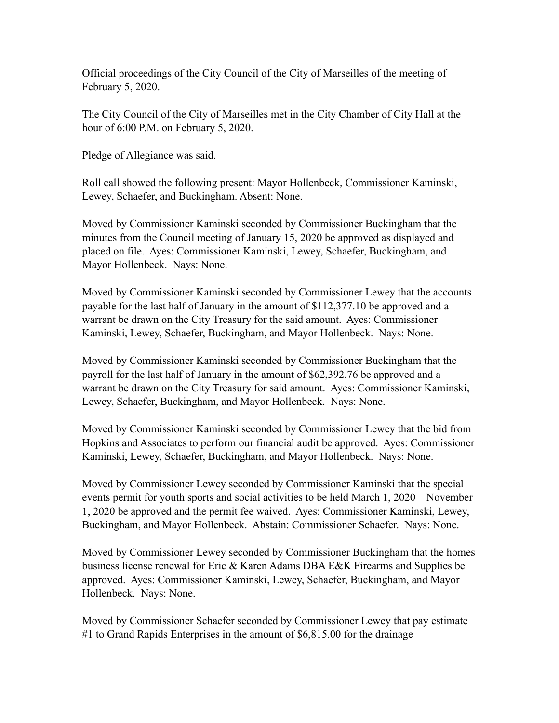Official proceedings of the City Council of the City of Marseilles of the meeting of February 5, 2020.

The City Council of the City of Marseilles met in the City Chamber of City Hall at the hour of 6:00 P.M. on February 5, 2020.

Pledge of Allegiance was said.

Roll call showed the following present: Mayor Hollenbeck, Commissioner Kaminski, Lewey, Schaefer, and Buckingham. Absent: None.

Moved by Commissioner Kaminski seconded by Commissioner Buckingham that the minutes from the Council meeting of January 15, 2020 be approved as displayed and placed on file. Ayes: Commissioner Kaminski, Lewey, Schaefer, Buckingham, and Mayor Hollenbeck. Nays: None.

Moved by Commissioner Kaminski seconded by Commissioner Lewey that the accounts payable for the last half of January in the amount of \$112,377.10 be approved and a warrant be drawn on the City Treasury for the said amount. Ayes: Commissioner Kaminski, Lewey, Schaefer, Buckingham, and Mayor Hollenbeck. Nays: None.

Moved by Commissioner Kaminski seconded by Commissioner Buckingham that the payroll for the last half of January in the amount of \$62,392.76 be approved and a warrant be drawn on the City Treasury for said amount. Ayes: Commissioner Kaminski, Lewey, Schaefer, Buckingham, and Mayor Hollenbeck. Nays: None.

Moved by Commissioner Kaminski seconded by Commissioner Lewey that the bid from Hopkins and Associates to perform our financial audit be approved. Ayes: Commissioner Kaminski, Lewey, Schaefer, Buckingham, and Mayor Hollenbeck. Nays: None.

Moved by Commissioner Lewey seconded by Commissioner Kaminski that the special events permit for youth sports and social activities to be held March 1, 2020 – November 1, 2020 be approved and the permit fee waived. Ayes: Commissioner Kaminski, Lewey, Buckingham, and Mayor Hollenbeck. Abstain: Commissioner Schaefer. Nays: None.

Moved by Commissioner Lewey seconded by Commissioner Buckingham that the homes business license renewal for Eric & Karen Adams DBA E&K Firearms and Supplies be approved. Ayes: Commissioner Kaminski, Lewey, Schaefer, Buckingham, and Mayor Hollenbeck. Nays: None.

Moved by Commissioner Schaefer seconded by Commissioner Lewey that pay estimate #1 to Grand Rapids Enterprises in the amount of \$6,815.00 for the drainage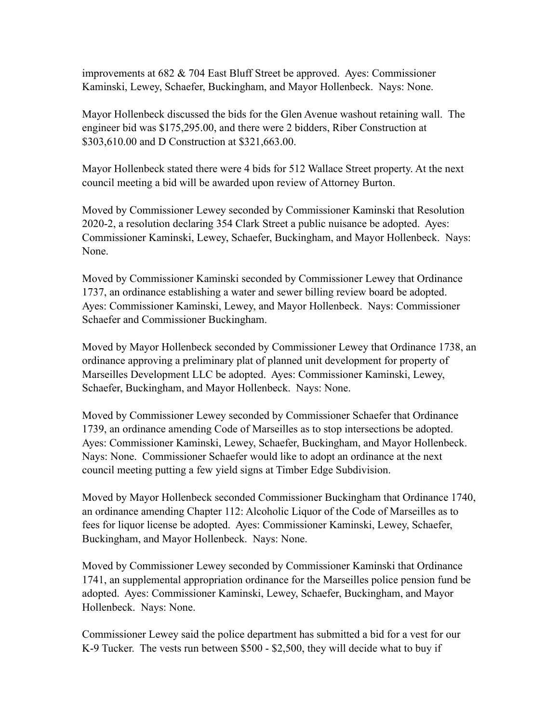improvements at 682 & 704 East Bluff Street be approved. Ayes: Commissioner Kaminski, Lewey, Schaefer, Buckingham, and Mayor Hollenbeck. Nays: None.

Mayor Hollenbeck discussed the bids for the Glen Avenue washout retaining wall. The engineer bid was \$175,295.00, and there were 2 bidders, Riber Construction at \$303,610.00 and D Construction at \$321,663.00.

Mayor Hollenbeck stated there were 4 bids for 512 Wallace Street property. At the next council meeting a bid will be awarded upon review of Attorney Burton.

Moved by Commissioner Lewey seconded by Commissioner Kaminski that Resolution 2020-2, a resolution declaring 354 Clark Street a public nuisance be adopted. Ayes: Commissioner Kaminski, Lewey, Schaefer, Buckingham, and Mayor Hollenbeck. Nays: None.

Moved by Commissioner Kaminski seconded by Commissioner Lewey that Ordinance 1737, an ordinance establishing a water and sewer billing review board be adopted. Ayes: Commissioner Kaminski, Lewey, and Mayor Hollenbeck. Nays: Commissioner Schaefer and Commissioner Buckingham.

Moved by Mayor Hollenbeck seconded by Commissioner Lewey that Ordinance 1738, an ordinance approving a preliminary plat of planned unit development for property of Marseilles Development LLC be adopted. Ayes: Commissioner Kaminski, Lewey, Schaefer, Buckingham, and Mayor Hollenbeck. Nays: None.

Moved by Commissioner Lewey seconded by Commissioner Schaefer that Ordinance 1739, an ordinance amending Code of Marseilles as to stop intersections be adopted. Ayes: Commissioner Kaminski, Lewey, Schaefer, Buckingham, and Mayor Hollenbeck. Nays: None. Commissioner Schaefer would like to adopt an ordinance at the next council meeting putting a few yield signs at Timber Edge Subdivision.

Moved by Mayor Hollenbeck seconded Commissioner Buckingham that Ordinance 1740, an ordinance amending Chapter 112: Alcoholic Liquor of the Code of Marseilles as to fees for liquor license be adopted. Ayes: Commissioner Kaminski, Lewey, Schaefer, Buckingham, and Mayor Hollenbeck. Nays: None.

Moved by Commissioner Lewey seconded by Commissioner Kaminski that Ordinance 1741, an supplemental appropriation ordinance for the Marseilles police pension fund be adopted. Ayes: Commissioner Kaminski, Lewey, Schaefer, Buckingham, and Mayor Hollenbeck. Nays: None.

Commissioner Lewey said the police department has submitted a bid for a vest for our K-9 Tucker. The vests run between \$500 - \$2,500, they will decide what to buy if